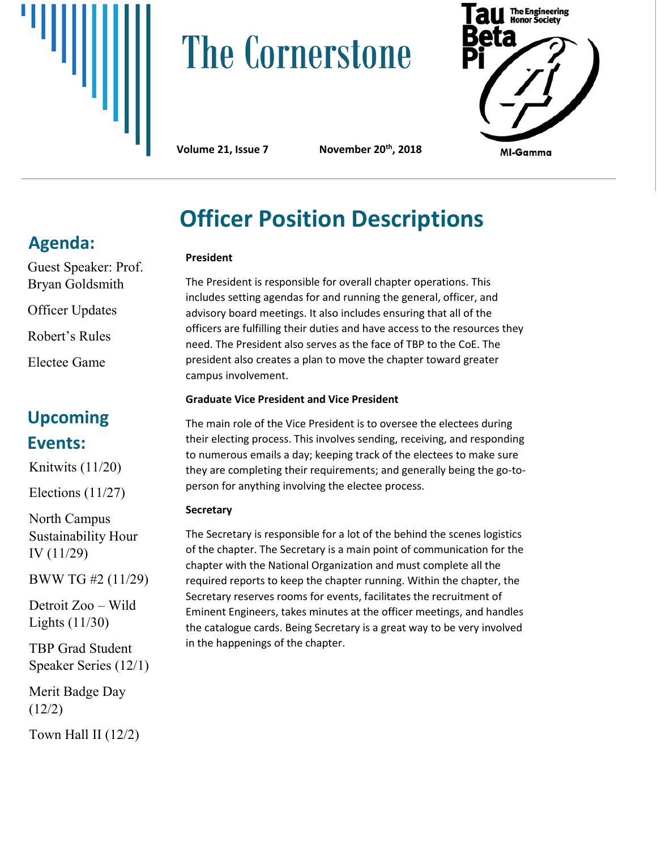

# **The Cornerstone**



**Volume 21, Issue 7 November 20th, 2018**

# **Officer Position Descriptions**

#### **President**

The President is responsible for overall chapter operations. This includes setting agendas for and running the general, officer, and advisory board meetings. It also includes ensuring that all of the officers are fulfilling their duties and have access to the resources they need. The President also serves as the face of TBP to the CoE. The president also creates a plan to move the chapter toward greater campus involvement.

#### **Graduate Vice President and Vice President**

The main role of the Vice President is to oversee the electees during their electing process. This involves sending, receiving, and responding to numerous emails a day; keeping track of the electees to make sure they are completing their requirements; and generally being the go-toperson for anything involving the electee process.

#### **Secretary**

The Secretary is responsible for a lot of the behind the scenes logistics of the chapter. The Secretary is a main point of communication for the chapter with the National Organization and must complete all the required reports to keep the chapter running. Within the chapter, the Secretary reserves rooms for events, facilitates the recruitment of Eminent Engineers, takes minutes at the officer meetings, and handles the catalogue cards. Being Secretary is a great way to be very involved in the happenings of the chapter.

## **Agenda:**

Guest Speaker: Prof. Bryan Goldsmith

Officer Updates

Robert's Rules

Electee Game

### **Upcoming Events:**

Knitwits (11/20)

Elections (11/27)

North Campus Sustainability Hour IV (11/29)

BWW TG #2 (11/29)

Detroit Zoo – Wild Lights (11/30)

TBP Grad Student Speaker Series (12/1)

Merit Badge Day (12/2)

Town Hall II (12/2)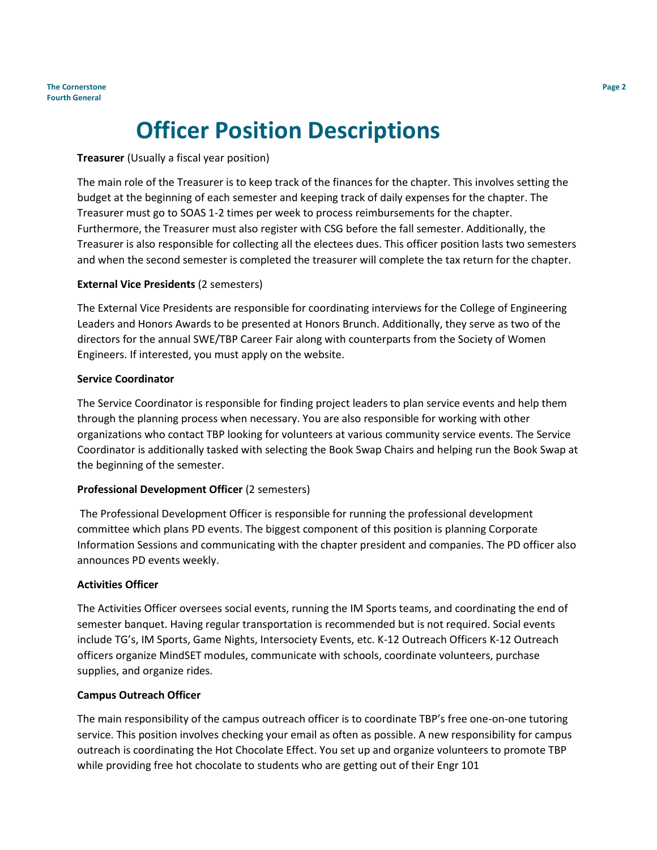## **Officer Position Descriptions**

#### **Treasurer** (Usually a fiscal year position)

The main role of the Treasurer is to keep track of the finances for the chapter. This involves setting the budget at the beginning of each semester and keeping track of daily expenses for the chapter. The Treasurer must go to SOAS 1-2 times per week to process reimbursements for the chapter. Furthermore, the Treasurer must also register with CSG before the fall semester. Additionally, the Treasurer is also responsible for collecting all the electees dues. This officer position lasts two semesters and when the second semester is completed the treasurer will complete the tax return for the chapter.

#### **External Vice Presidents** (2 semesters)

The External Vice Presidents are responsible for coordinating interviews for the College of Engineering Leaders and Honors Awards to be presented at Honors Brunch. Additionally, they serve as two of the directors for the annual SWE/TBP Career Fair along with counterparts from the Society of Women Engineers. If interested, you must apply on the website.

#### **Service Coordinator**

The Service Coordinator is responsible for finding project leaders to plan service events and help them through the planning process when necessary. You are also responsible for working with other organizations who contact TBP looking for volunteers at various community service events. The Service Coordinator is additionally tasked with selecting the Book Swap Chairs and helping run the Book Swap at the beginning of the semester.

#### **Professional Development Officer** (2 semesters)

The Professional Development Officer is responsible for running the professional development committee which plans PD events. The biggest component of this position is planning Corporate Information Sessions and communicating with the chapter president and companies. The PD officer also announces PD events weekly.

#### **Activities Officer**

The Activities Officer oversees social events, running the IM Sports teams, and coordinating the end of semester banquet. Having regular transportation is recommended but is not required. Social events include TG's, IM Sports, Game Nights, Intersociety Events, etc. K-12 Outreach Officers K-12 Outreach officers organize MindSET modules, communicate with schools, coordinate volunteers, purchase supplies, and organize rides.

#### **Campus Outreach Officer**

The main responsibility of the campus outreach officer is to coordinate TBP's free one-on-one tutoring service. This position involves checking your email as often as possible. A new responsibility for campus outreach is coordinating the Hot Chocolate Effect. You set up and organize volunteers to promote TBP while providing free hot chocolate to students who are getting out of their Engr 101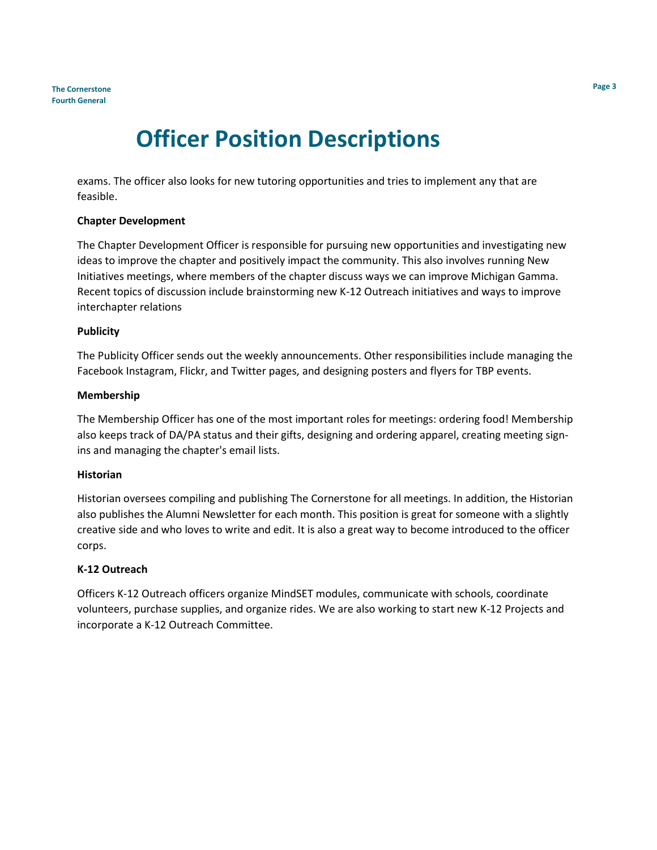## **Officer Position Descriptions**

exams. The officer also looks for new tutoring opportunities and tries to implement any that are feasible.

#### **Chapter Development**

The Chapter Development Officer is responsible for pursuing new opportunities and investigating new ideas to improve the chapter and positively impact the community. This also involves running New Initiatives meetings, where members of the chapter discuss ways we can improve Michigan Gamma. Recent topics of discussion include brainstorming new K-12 Outreach initiatives and ways to improve interchapter relations

#### **Publicity**

The Publicity Officer sends out the weekly announcements. Other responsibilities include managing the Facebook Instagram, Flickr, and Twitter pages, and designing posters and flyers for TBP events.

#### **Membership**

The Membership Officer has one of the most important roles for meetings: ordering food! Membership also keeps track of DA/PA status and their gifts, designing and ordering apparel, creating meeting signins and managing the chapter's email lists.

#### **Historian**

Historian oversees compiling and publishing The Cornerstone for all meetings. In addition, the Historian also publishes the Alumni Newsletter for each month. This position is great for someone with a slightly creative side and who loves to write and edit. It is also a great way to become introduced to the officer corps.

#### **K-12 Outreach**

Officers K-12 Outreach officers organize MindSET modules, communicate with schools, coordinate volunteers, purchase supplies, and organize rides. We are also working to start new K-12 Projects and incorporate a K-12 Outreach Committee.